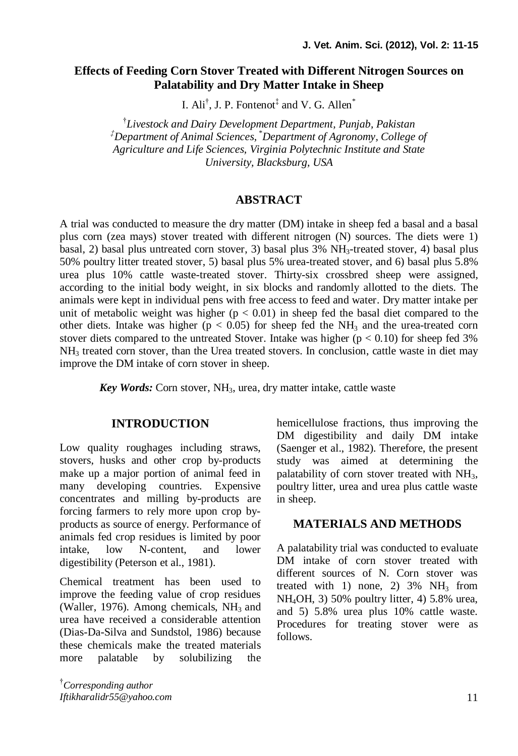# **Effects of Feeding Corn Stover Treated with Different Nitrogen Sources on Palatability and Dry Matter Intake in Sheep**

I.  $\text{Ali}^\dagger$ , J. P. Fontenot<sup>‡</sup> and V. G. Allen<sup>\*</sup>

† *Livestock and Dairy Development Department, Punjab, Pakistan ‡Department of Animal Sciences,* \**Department of Agronomy, College of Agriculture and Life Sciences, Virginia Polytechnic Institute and State University, Blacksburg, USA*

### **ABSTRACT**

A trial was conducted to measure the dry matter (DM) intake in sheep fed a basal and a basal plus corn (zea mays) stover treated with different nitrogen (N) sources. The diets were 1) basal, 2) basal plus untreated corn stover, 3) basal plus  $3\%$  NH<sub>3</sub>-treated stover, 4) basal plus 50% poultry litter treated stover, 5) basal plus 5% urea-treated stover, and 6) basal plus 5.8% urea plus 10% cattle waste-treated stover. Thirty-six crossbred sheep were assigned, according to the initial body weight, in six blocks and randomly allotted to the diets. The animals were kept in individual pens with free access to feed and water. Dry matter intake per unit of metabolic weight was higher ( $p < 0.01$ ) in sheep fed the basal diet compared to the other diets. Intake was higher ( $p < 0.05$ ) for sheep fed the NH<sub>3</sub> and the urea-treated corn stover diets compared to the untreated Stover. Intake was higher  $(p < 0.10)$  for sheep fed 3%  $NH<sub>3</sub>$  treated corn stover, than the Urea treated stovers. In conclusion, cattle waste in diet may improve the DM intake of corn stover in sheep.

*Key Words:* Corn stover, NH3, urea, dry matter intake, cattle waste

### **INTRODUCTION**

Low quality roughages including straws, stovers, husks and other crop by-products make up a major portion of animal feed in many developing countries. Expensive concentrates and milling by-products are forcing farmers to rely more upon crop byproducts as source of energy. Performance of animals fed crop residues is limited by poor intake, low N-content, and lower digestibility (Peterson et al., 1981).

Chemical treatment has been used to improve the feeding value of crop residues (Waller, 1976). Among chemicals,  $NH<sub>3</sub>$  and urea have received a considerable attention (Dias-Da-Silva and Sundstol, 1986) because these chemicals make the treated materials more palatable by solubilizing the

†*Corresponding author Iftikharalidr55@yahoo.com* hemicellulose fractions, thus improving the DM digestibility and daily DM intake (Saenger et al., 1982). Therefore, the present study was aimed at determining the palatability of corn stover treated with  $NH<sub>3</sub>$ , poultry litter, urea and urea plus cattle waste in sheep.

#### **MATERIALS AND METHODS**

A palatability trial was conducted to evaluate DM intake of corn stover treated with different sources of N. Corn stover was treated with 1) none, 2)  $3\%$  NH<sub>3</sub> from NH4OH, 3) 50% poultry litter, 4) 5.8% urea, and 5) 5.8% urea plus 10% cattle waste. Procedures for treating stover were as follows.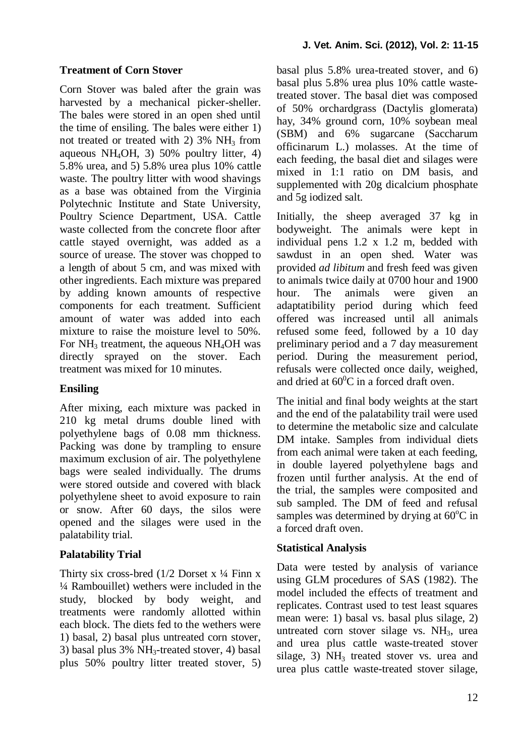#### **Treatment of Corn Stover**

Corn Stover was baled after the grain was harvested by a mechanical picker-sheller. The bales were stored in an open shed until the time of ensiling. The bales were either 1) not treated or treated with 2)  $3\%$  NH<sub>3</sub> from aqueous NH<sub>4</sub>OH, 3) 50% poultry litter, 4) 5.8% urea, and 5) 5.8% urea plus 10% cattle waste. The poultry litter with wood shavings as a base was obtained from the Virginia Polytechnic Institute and State University, Poultry Science Department, USA. Cattle waste collected from the concrete floor after cattle stayed overnight, was added as a source of urease. The stover was chopped to a length of about 5 cm, and was mixed with other ingredients. Each mixture was prepared by adding known amounts of respective components for each treatment. Sufficient amount of water was added into each mixture to raise the moisture level to 50%. For  $NH<sub>3</sub>$  treatment, the aqueous  $NH<sub>4</sub>OH$  was directly sprayed on the stover. Each treatment was mixed for 10 minutes.

#### **Ensiling**

After mixing, each mixture was packed in 210 kg metal drums double lined with polyethylene bags of 0.08 mm thickness. Packing was done by trampling to ensure maximum exclusion of air. The polyethylene bags were sealed individually. The drums were stored outside and covered with black polyethylene sheet to avoid exposure to rain or snow. After 60 days, the silos were opened and the silages were used in the palatability trial.

## **Palatability Trial**

Thirty six cross-bred  $(1/2$  Dorset x  $\frac{1}{4}$  Finn x ¼ Rambouillet) wethers were included in the study, blocked by body weight, and treatments were randomly allotted within each block. The diets fed to the wethers were 1) basal, 2) basal plus untreated corn stover, 3) basal plus  $3\%$  NH<sub>3</sub>-treated stover, 4) basal plus 50% poultry litter treated stover, 5) basal plus 5.8% urea-treated stover, and 6) basal plus 5.8% urea plus 10% cattle wastetreated stover. The basal diet was composed of 50% orchardgrass (Dactylis glomerata) hay, 34% ground corn, 10% soybean meal (SBM) and 6% sugarcane (Saccharum officinarum L.) molasses. At the time of each feeding, the basal diet and silages were mixed in 1:1 ratio on DM basis, and supplemented with 20g dicalcium phosphate and 5g iodized salt.

Initially, the sheep averaged 37 kg in bodyweight. The animals were kept in individual pens 1.2 x 1.2 m, bedded with sawdust in an open shed. Water was provided *ad libitum* and fresh feed was given to animals twice daily at 0700 hour and 1900 hour. The animals were given an adaptatibility period during which feed offered was increased until all animals refused some feed, followed by a 10 day preliminary period and a 7 day measurement period. During the measurement period, refusals were collected once daily, weighed, and dried at  $60^{\circ}$ C in a forced draft oven.

The initial and final body weights at the start and the end of the palatability trail were used to determine the metabolic size and calculate DM intake. Samples from individual diets from each animal were taken at each feeding, in double layered polyethylene bags and frozen until further analysis. At the end of the trial, the samples were composited and sub sampled. The DM of feed and refusal samples was determined by drying at  $60^{\circ}$ C in a forced draft oven.

## **Statistical Analysis**

Data were tested by analysis of variance using GLM procedures of SAS (1982). The model included the effects of treatment and replicates. Contrast used to test least squares mean were: 1) basal vs. basal plus silage, 2) untreated corn stover silage vs.  $NH<sub>3</sub>$ , urea and urea plus cattle waste-treated stover silage, 3)  $NH<sub>3</sub>$  treated stover vs. urea and urea plus cattle waste-treated stover silage,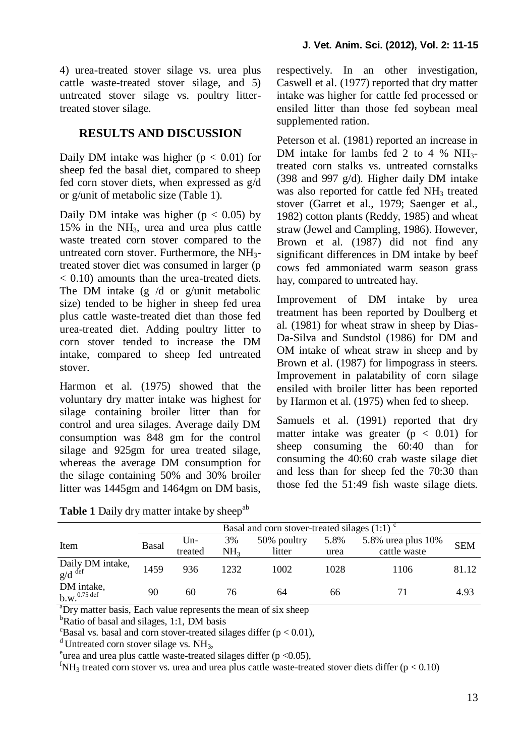4) urea-treated stover silage vs. urea plus cattle waste-treated stover silage, and 5) untreated stover silage vs. poultry littertreated stover silage.

# **RESULTS AND DISCUSSION**

Daily DM intake was higher  $(p < 0.01)$  for sheep fed the basal diet, compared to sheep fed corn stover diets, when expressed as g/d or g/unit of metabolic size (Table 1).

Daily DM intake was higher ( $p < 0.05$ ) by 15% in the NH3, urea and urea plus cattle waste treated corn stover compared to the untreated corn stover. Furthermore, the NH3 treated stover diet was consumed in larger (p < 0.10) amounts than the urea-treated diets. The DM intake  $(g/d \text{ or } g/$ unit metabolic size) tended to be higher in sheep fed urea plus cattle waste-treated diet than those fed urea-treated diet. Adding poultry litter to corn stover tended to increase the DM intake, compared to sheep fed untreated stover.

Harmon et al. (1975) showed that the voluntary dry matter intake was highest for silage containing broiler litter than for control and urea silages. Average daily DM consumption was 848 gm for the control silage and 925gm for urea treated silage, whereas the average DM consumption for the silage containing 50% and 30% broiler litter was 1445gm and 1464gm on DM basis, respectively. In an other investigation, Caswell et al. (1977) reported that dry matter intake was higher for cattle fed processed or ensiled litter than those fed soybean meal supplemented ration.

Peterson et al. (1981) reported an increase in DM intake for lambs fed 2 to 4 %  $NH_3$ treated corn stalks vs. untreated cornstalks (398 and 997 g/d). Higher daily DM intake was also reported for cattle fed NH<sub>3</sub> treated stover (Garret et al., 1979; Saenger et al., 1982) cotton plants (Reddy, 1985) and wheat straw (Jewel and Campling, 1986). However, Brown et al. (1987) did not find any significant differences in DM intake by beef cows fed ammoniated warm season grass hay, compared to untreated hay.

Improvement of DM intake by urea treatment has been reported by Doulberg et al. (1981) for wheat straw in sheep by Dias-Da-Silva and Sundstol (1986) for DM and OM intake of wheat straw in sheep and by Brown et al. (1987) for limpograss in steers. Improvement in palatability of corn silage ensiled with broiler litter has been reported by Harmon et al. (1975) when fed to sheep.

Samuels et al. (1991) reported that dry matter intake was greater  $(p < 0.01)$  for sheep consuming the 60:40 than for consuming the 40:60 crab waste silage diet and less than for sheep fed the 70:30 than those fed the 51:49 fish waste silage diets.

|                                         | Basal and corn stover-treated silages $(1:1)$ <sup>c</sup> |         |                 |             |      |                       |            |
|-----------------------------------------|------------------------------------------------------------|---------|-----------------|-------------|------|-----------------------|------------|
| Item                                    | Basal                                                      | $Un-$   | 3%              | 50% poultry | 5.8% | 5.8% urea plus $10\%$ | <b>SEM</b> |
|                                         |                                                            | treated | NH <sub>3</sub> | litter      | urea | cattle waste          |            |
| Daily DM intake,<br>$g/d$ def           | 1459                                                       | 936     | 1232            | 1002        | 1028 | 1106                  | 81.12      |
| DM intake,<br>$b.w.^{0.75 \text{ def}}$ | 90                                                         | 60      | 76              | 64          | 66   |                       | 4.93       |

**Table 1** Daily dry matter intake by sheep<sup>ab</sup>

<sup>a</sup>Dry matter basis, Each value represents the mean of six sheep

 $<sup>b</sup>Ratio of basal and silages, 1:1, DM basis$ </sup>

 $\text{c}_\text{Basal}$  vs. basal and corn stover-treated silages differ (p < 0.01),

<sup>d</sup>Untreated corn stover silage vs.  $NH<sub>3</sub>$ ,

<sup>e</sup>urea and urea plus cattle waste-treated silages differ ( $p$  <0.05),

 ${}^{\text{f}}\text{NH}_3$  treated corn stover vs. urea and urea plus cattle waste-treated stover diets differ (p < 0.10)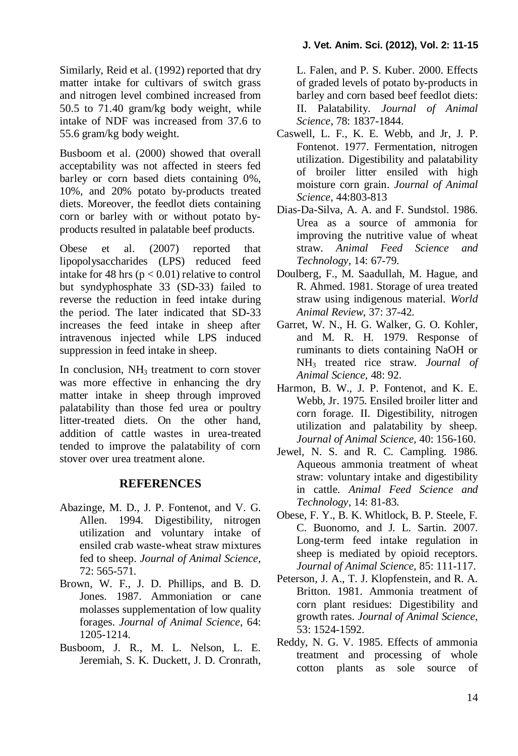Similarly, Reid et al. (1992) reported that dry matter intake for cultivars of switch grass and nitrogen level combined increased from 50.5 to 71.40 gram/kg body weight, while intake of NDF was increased from 37.6 to 55.6 gram/kg body weight.

Busboom et al. (2000) showed that overall acceptability was not affected in steers fed barley or corn based diets containing 0%, 10%, and 20% potato by-products treated diets. Moreover, the feedlot diets containing corn or barley with or without potato byproducts resulted in palatable beef products.

Obese et al. (2007) reported that lipopolysaccharides (LPS) reduced feed intake for 48 hrs ( $p < 0.01$ ) relative to control but syndyphosphate 33 (SD-33) failed to reverse the reduction in feed intake during the period. The later indicated that SD-33 increases the feed intake in sheep after intravenous injected while LPS induced suppression in feed intake in sheep.

In conclusion,  $NH<sub>3</sub>$  treatment to corn stover was more effective in enhancing the dry matter intake in sheep through improved palatability than those fed urea or poultry litter-treated diets. On the other hand, addition of cattle wastes in urea-treated tended to improve the palatability of corn stover over urea treatment alone.

# **REFERENCES**

- Abazinge, M. D., J. P. Fontenot, and V. G. Allen. 1994. Digestibility, nitrogen utilization and voluntary intake of ensiled crab waste-wheat straw mixtures fed to sheep. *Journal of Animal Science*, 72: 565-571.
- Brown, W. F., J. D. Phillips, and B. D. Jones. 1987. Ammoniation or cane molasses supplementation of low quality forages. *Journal of Animal Science*, 64: 1205-1214.
- Busboom, J. R., M. L. Nelson, L. E. Jeremiah, S. K. Duckett, J. D. Cronrath,

L. Falen, and P. S. Kuber. 2000. Effects of graded levels of potato by-products in barley and corn based beef feedlot diets: II. Palatability. *Journal of Animal Science*, 78: 1837-1844.

- Caswell, L. F., K. E. Webb, and Jr, J. P. Fontenot. 1977. Fermentation, nitrogen utilization. Digestibility and palatability of broiler litter ensiled with high moisture corn grain. *Journal of Animal Science,* 44:803-813
- Dias-Da-Silva, A. A. and F. Sundstol. 1986. Urea as a source of ammonia for improving the nutritive value of wheat straw. *Animal Feed Science and Technology*, 14: 67-79.
- Doulberg, F., M. Saadullah, M. Hague, and R. Ahmed. 1981. Storage of urea treated straw using indigenous material. *World Animal Review*, 37: 37-42.
- Garret, W. N., H. G. Walker, G. O. Kohler, and M. R. H. 1979. Response of ruminants to diets containing NaOH or NH<sup>3</sup> treated rice straw. *Journal of Animal Science,* 48: 92.
- Harmon, B. W., J. P. Fontenot, and K. E. Webb, Jr. 1975. Ensiled broiler litter and corn forage. II. Digestibility, nitrogen utilization and palatability by sheep. *Journal of Animal Science,* 40: 156-160.
- Jewel, N. S. and R. C. Campling. 1986. Aqueous ammonia treatment of wheat straw: voluntary intake and digestibility in cattle*. Animal Feed Science and Technology,* 14: 81-83.
- Obese, F. Y., B. K. Whitlock, B. P. Steele, F. C. Buonomo, and J. L. Sartin. 2007. Long-term feed intake regulation in sheep is mediated by opioid receptors. *Journal of Animal Science,* 85: 111-117.
- Peterson, J. A., T. J. Klopfenstein, and R. A. Britton. 1981. Ammonia treatment of corn plant residues: Digestibility and growth rates. *Journal of Animal Science,* 53: 1524-1592.
- Reddy, N. G. V. 1985. Effects of ammonia treatment and processing of whole cotton plants as sole source of